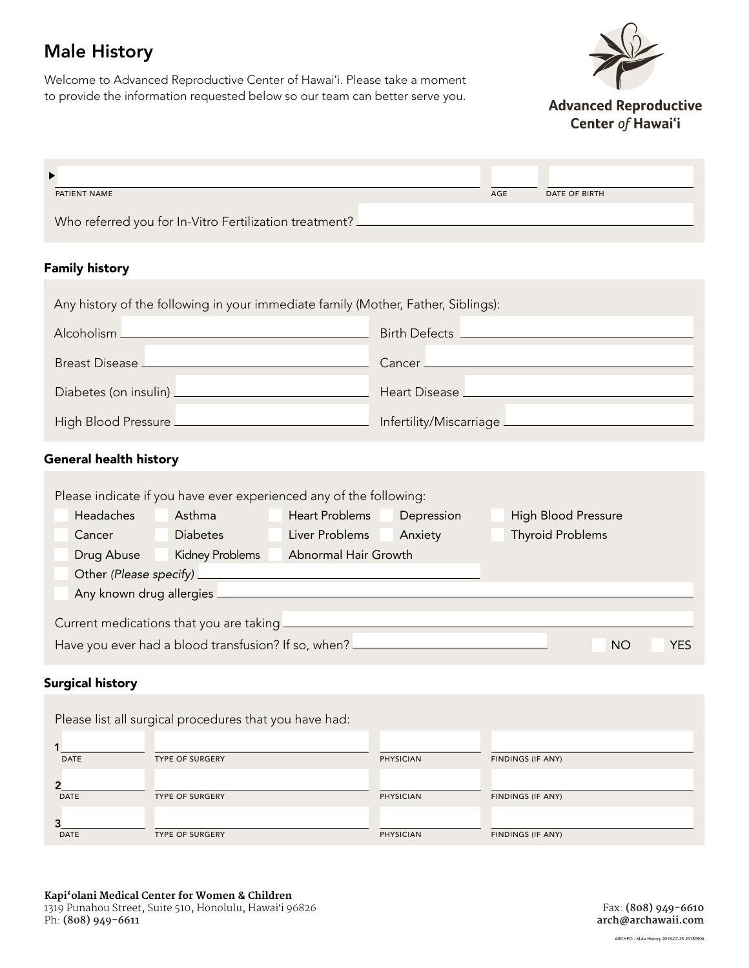# Male History

Welcome to Advanced Reproductive Center of Hawaiʻi. Please take a moment to provide the information requested below so our team can better serve you.



**Advanced Reproductive** Center of Hawai'i

| PATIENT NAME                                           | AGE | DATE OF BIRTH |
|--------------------------------------------------------|-----|---------------|
| Who referred you for In-Vitro Fertilization treatment? |     |               |

### Family history

| Any history of the following in your immediate family (Mother, Father, Siblings): |                                         |  |  |
|-----------------------------------------------------------------------------------|-----------------------------------------|--|--|
|                                                                                   | Birth Defects <u>__________________</u> |  |  |
|                                                                                   |                                         |  |  |
| Diabetes (on insulin) <u>_____________________________</u>                        |                                         |  |  |
|                                                                                   |                                         |  |  |

## General health history

| Please indicate if you have ever experienced any of the following: |                                   |                                                     |            |                            |            |
|--------------------------------------------------------------------|-----------------------------------|-----------------------------------------------------|------------|----------------------------|------------|
| Headaches                                                          | Asthma                            | <b>Heart Problems</b>                               | Depression | <b>High Blood Pressure</b> |            |
| Cancer                                                             | <b>Diabetes</b>                   | Liver Problems                                      | Anxiety    | <b>Thyroid Problems</b>    |            |
| Drug Abuse                                                         | Kidney Problems                   | Abnormal Hair Growth                                |            |                            |            |
|                                                                    | Other (Please specify) __________ |                                                     |            |                            |            |
| Any known drug allergies _                                         |                                   |                                                     |            |                            |            |
| Current medications that you are taking _                          |                                   |                                                     |            |                            |            |
|                                                                    |                                   | Have you ever had a blood transfusion? If so, when? |            | NO.                        | <b>YES</b> |

#### Surgical history

|             | Please list all surgical procedures that you have had: |                  |                   |
|-------------|--------------------------------------------------------|------------------|-------------------|
| <b>DATE</b> | <b>TYPE OF SURGERY</b>                                 | <b>PHYSICIAN</b> | FINDINGS (IF ANY) |
| <b>DATE</b> | <b>TYPE OF SURGERY</b>                                 | <b>PHYSICIAN</b> | FINDINGS (IF ANY) |
| <b>DATE</b> | <b>TYPE OF SURGERY</b>                                 | <b>PHYSICIAN</b> | FINDINGS (IF ANY) |